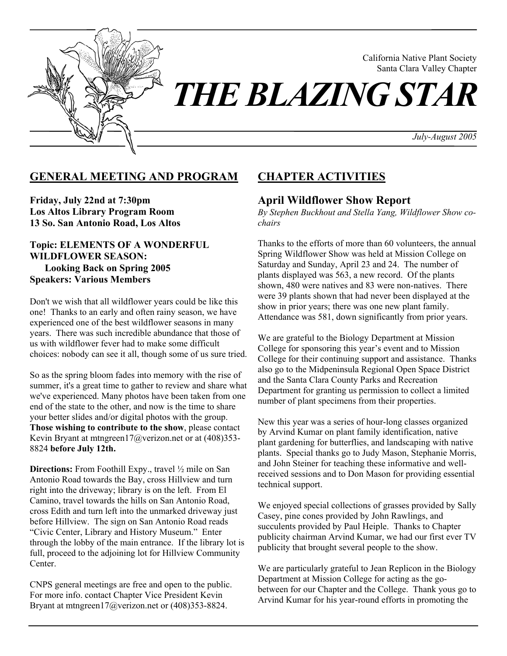

California Native Plant Society Santa Clara Valley Chapter

*July-August 2005* 

## **GENERAL MEETING AND PROGRAM**

**Friday, July 22nd at 7:30pm Los Altos Library Program Room 13 So. San Antonio Road, Los Altos** 

### **Topic: ELEMENTS OF A WONDERFUL WILDFLOWER SEASON: Looking Back on Spring 2005 Speakers: Various Members**

Don't we wish that all wildflower years could be like this one! Thanks to an early and often rainy season, we have experienced one of the best wildflower seasons in many years. There was such incredible abundance that those of us with wildflower fever had to make some difficult choices: nobody can see it all, though some of us sure tried.

So as the spring bloom fades into memory with the rise of summer, it's a great time to gather to review and share what we've experienced. Many photos have been taken from one end of the state to the other, and now is the time to share your better slides and/or digital photos with the group. **Those wishing to contribute to the show**, please contact Kevin Bryant at mtngreen17@verizon.net or at (408)353-8824 **before July 12th.** 

**Directions:** From Foothill Expy., travel  $\frac{1}{2}$  mile on San Antonio Road towards the Bay, cross Hillview and turn right into the driveway; library is on the left. From El Camino, travel towards the hills on San Antonio Road, cross Edith and turn left into the unmarked driveway just before Hillview. The sign on San Antonio Road reads "Civic Center, Library and History Museum." Enter through the lobby of the main entrance. If the library lot is full, proceed to the adjoining lot for Hillview Community Center.

CNPS general meetings are free and open to the public. For more info. contact Chapter Vice President Kevin Bryant at mtngreen17@verizon.net or (408)353-8824.

# **CHAPTER ACTIVITIES**

## **April Wildflower Show Report**

*By Stephen Buckhout and Stella Yang, Wildflower Show cochairs* 

Thanks to the efforts of more than 60 volunteers, the annual Spring Wildflower Show was held at Mission College on Saturday and Sunday, April 23 and 24. The number of plants displayed was 563, a new record. Of the plants shown, 480 were natives and 83 were non-natives. There were 39 plants shown that had never been displayed at the show in prior years; there was one new plant family. Attendance was 581, down significantly from prior years.

We are grateful to the Biology Department at Mission College for sponsoring this year's event and to Mission College for their continuing support and assistance. Thanks also go to the Midpeninsula Regional Open Space District and the Santa Clara County Parks and Recreation Department for granting us permission to collect a limited number of plant specimens from their properties.

New this year was a series of hour-long classes organized by Arvind Kumar on plant family identification, native plant gardening for butterflies, and landscaping with native plants. Special thanks go to Judy Mason, Stephanie Morris, and John Steiner for teaching these informative and wellreceived sessions and to Don Mason for providing essential technical support.

We enjoyed special collections of grasses provided by Sally Casey, pine cones provided by John Rawlings, and succulents provided by Paul Heiple. Thanks to Chapter publicity chairman Arvind Kumar, we had our first ever TV publicity that brought several people to the show.

We are particularly grateful to Jean Replicon in the Biology Department at Mission College for acting as the gobetween for our Chapter and the College. Thank yous go to Arvind Kumar for his year-round efforts in promoting the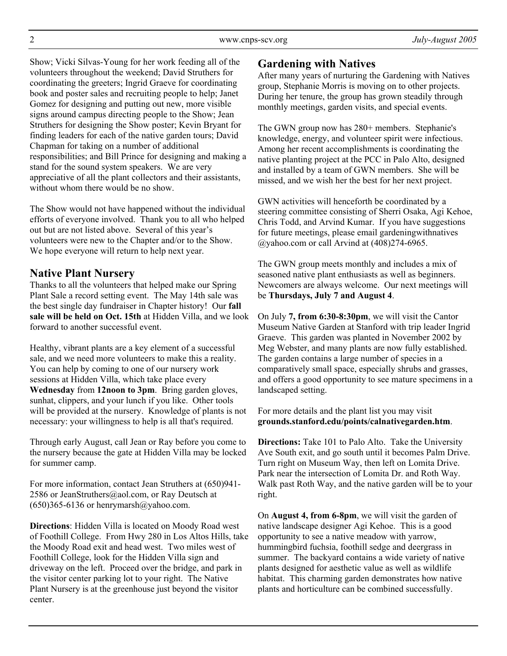Show; Vicki Silvas-Young for her work feeding all of the volunteers throughout the weekend; David Struthers for coordinating the greeters; Ingrid Graeve for coordinating book and poster sales and recruiting people to help; Janet Gomez for designing and putting out new, more visible signs around campus directing people to the Show; Jean Struthers for designing the Show poster; Kevin Bryant for finding leaders for each of the native garden tours; David Chapman for taking on a number of additional responsibilities; and Bill Prince for designing and making a stand for the sound system speakers. We are very appreciative of all the plant collectors and their assistants, without whom there would be no show.

The Show would not have happened without the individual efforts of everyone involved. Thank you to all who helped out but are not listed above. Several of this year's volunteers were new to the Chapter and/or to the Show. We hope everyone will return to help next year.

## **Native Plant Nursery**

Thanks to all the volunteers that helped make our Spring Plant Sale a record setting event. The May 14th sale was the best single day fundraiser in Chapter history! Our **fall sale will be held on Oct. 15th** at Hidden Villa, and we look forward to another successful event.

Healthy, vibrant plants are a key element of a successful sale, and we need more volunteers to make this a reality. You can help by coming to one of our nursery work sessions at Hidden Villa, which take place every **Wednesday** from **12noon to 3pm**. Bring garden gloves, sunhat, clippers, and your lunch if you like. Other tools will be provided at the nursery. Knowledge of plants is not necessary: your willingness to help is all that's required.

Through early August, call Jean or Ray before you come to the nursery because the gate at Hidden Villa may be locked for summer camp.

For more information, contact Jean Struthers at (650)941- 2586 or JeanStruthers@aol.com, or Ray Deutsch at  $(650)365-6136$  or henrymarsh $@$ yahoo.com.

**Directions**: Hidden Villa is located on Moody Road west of Foothill College. From Hwy 280 in Los Altos Hills, take the Moody Road exit and head west. Two miles west of Foothill College, look for the Hidden Villa sign and driveway on the left. Proceed over the bridge, and park in the visitor center parking lot to your right. The Native Plant Nursery is at the greenhouse just beyond the visitor center.

## **Gardening with Natives**

After many years of nurturing the Gardening with Natives group, Stephanie Morris is moving on to other projects. During her tenure, the group has grown steadily through monthly meetings, garden visits, and special events.

The GWN group now has 280+ members. Stephanie's knowledge, energy, and volunteer spirit were infectious. Among her recent accomplishments is coordinating the native planting project at the PCC in Palo Alto, designed and installed by a team of GWN members. She will be missed, and we wish her the best for her next project.

GWN activities will henceforth be coordinated by a steering committee consisting of Sherri Osaka, Agi Kehoe, Chris Todd, and Arvind Kumar. If you have suggestions for future meetings, please email gardeningwithnatives @yahoo.com or call Arvind at (408)274-6965.

The GWN group meets monthly and includes a mix of seasoned native plant enthusiasts as well as beginners. Newcomers are always welcome. Our next meetings will be **Thursdays, July 7 and August 4**.

On July **7, from 6:30-8:30pm**, we will visit the Cantor Museum Native Garden at Stanford with trip leader Ingrid Graeve. This garden was planted in November 2002 by Meg Webster, and many plants are now fully established. The garden contains a large number of species in a comparatively small space, especially shrubs and grasses, and offers a good opportunity to see mature specimens in a landscaped setting.

For more details and the plant list you may visit **grounds.stanford.edu/points/calnativegarden.htm**.

**Directions:** Take 101 to Palo Alto. Take the University Ave South exit, and go south until it becomes Palm Drive. Turn right on Museum Way, then left on Lomita Drive. Park near the intersection of Lomita Dr. and Roth Way. Walk past Roth Way, and the native garden will be to your right.

On **August 4, from 6-8pm**, we will visit the garden of native landscape designer Agi Kehoe. This is a good opportunity to see a native meadow with yarrow, hummingbird fuchsia, foothill sedge and deergrass in summer. The backyard contains a wide variety of native plants designed for aesthetic value as well as wildlife habitat. This charming garden demonstrates how native plants and horticulture can be combined successfully.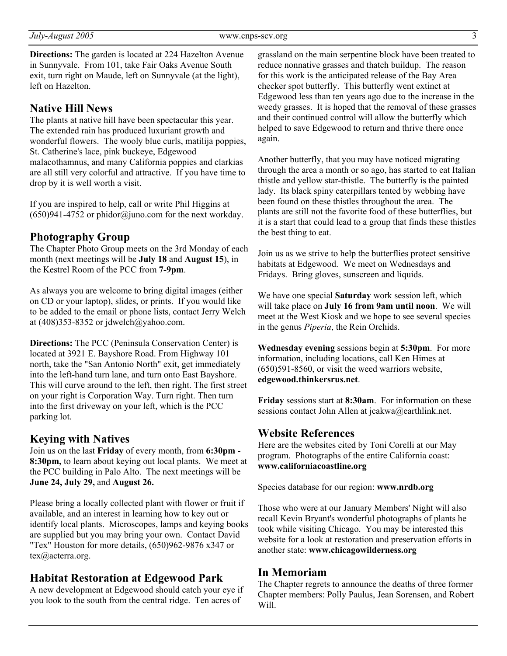**Directions:** The garden is located at 224 Hazelton Avenue in Sunnyvale. From 101, take Fair Oaks Avenue South exit, turn right on Maude, left on Sunnyvale (at the light), left on Hazelton.

## **Native Hill News**

The plants at native hill have been spectacular this year. The extended rain has produced luxuriant growth and wonderful flowers. The wooly blue curls, matilija poppies, St. Catherine's lace, pink buckeye, Edgewood malacothamnus, and many California poppies and clarkias are all still very colorful and attractive. If you have time to drop by it is well worth a visit.

If you are inspired to help, call or write Phil Higgins at  $(650)941-4752$  or phidor@juno.com for the next workday.

### **Photography Group**

The Chapter Photo Group meets on the 3rd Monday of each month (next meetings will be **July 18** and **August 15**), in the Kestrel Room of the PCC from **7-9pm**.

As always you are welcome to bring digital images (either on CD or your laptop), slides, or prints. If you would like to be added to the email or phone lists, contact Jerry Welch at (408)353-8352 or jdwelch@yahoo.com.

**Directions:** The PCC (Peninsula Conservation Center) is located at 3921 E. Bayshore Road. From Highway 101 north, take the "San Antonio North" exit, get immediately into the left-hand turn lane, and turn onto East Bayshore. This will curve around to the left, then right. The first street on your right is Corporation Way. Turn right. Then turn into the first driveway on your left, which is the PCC parking lot.

### **Keying with Natives**

Join us on the last **Friday** of every month, from **6:30pm - 8:30pm,** to learn about keying out local plants. We meet at the PCC building in Palo Alto. The next meetings will be **June 24, July 29,** and **August 26.** 

Please bring a locally collected plant with flower or fruit if available, and an interest in learning how to key out or identify local plants. Microscopes, lamps and keying books are supplied but you may bring your own. Contact David "Tex" Houston for more details, (650)962-9876 x347 or tex@acterra.org.

### **Habitat Restoration at Edgewood Park**

A new development at Edgewood should catch your eye if you look to the south from the central ridge. Ten acres of

grassland on the main serpentine block have been treated to reduce nonnative grasses and thatch buildup. The reason for this work is the anticipated release of the Bay Area checker spot butterfly. This butterfly went extinct at Edgewood less than ten years ago due to the increase in the weedy grasses. It is hoped that the removal of these grasses and their continued control will allow the butterfly which helped to save Edgewood to return and thrive there once again.

Another butterfly, that you may have noticed migrating through the area a month or so ago, has started to eat Italian thistle and yellow star-thistle. The butterfly is the painted lady. Its black spiny caterpillars tented by webbing have been found on these thistles throughout the area. The plants are still not the favorite food of these butterflies, but it is a start that could lead to a group that finds these thistles the best thing to eat.

Join us as we strive to help the butterflies protect sensitive habitats at Edgewood. We meet on Wednesdays and Fridays. Bring gloves, sunscreen and liquids.

We have one special **Saturday** work session left, which will take place on **July 16 from 9am until noon**. We will meet at the West Kiosk and we hope to see several species in the genus *Piperia*, the Rein Orchids.

**Wednesday evening** sessions begin at **5:30pm**. For more information, including locations, call Ken Himes at (650)591-8560, or visit the weed warriors website, **edgewood.thinkersrus.net**.

**Friday** sessions start at **8:30am**. For information on these sessions contact John Allen at jcakwa@earthlink.net.

## **Website References**

Here are the websites cited by Toni Corelli at our May program. Photographs of the entire California coast: **www.californiacoastline.org** 

Species database for our region: **www.nrdb.org** 

Those who were at our January Members' Night will also recall Kevin Bryant's wonderful photographs of plants he took while visiting Chicago. You may be interested this website for a look at restoration and preservation efforts in another state: **www.chicagowilderness.org** 

#### **In Memoriam**

The Chapter regrets to announce the deaths of three former Chapter members: Polly Paulus, Jean Sorensen, and Robert Will.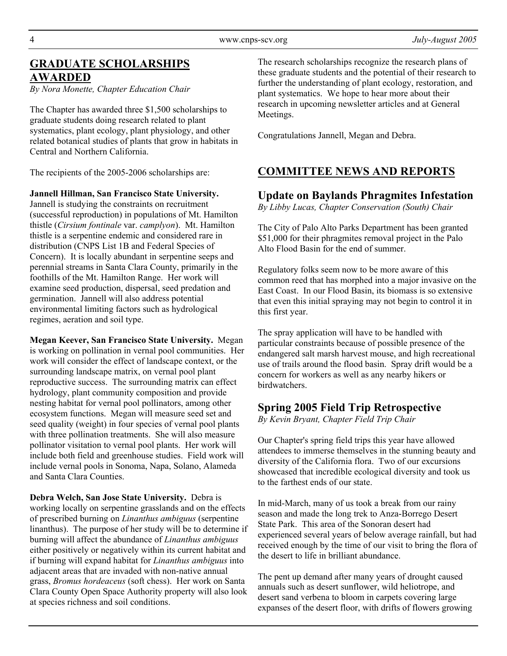# **GRADUATE SCHOLARSHIPS AWARDED**

*By Nora Monette, Chapter Education Chair* 

The Chapter has awarded three \$1,500 scholarships to graduate students doing research related to plant systematics, plant ecology, plant physiology, and other related botanical studies of plants that grow in habitats in Central and Northern California.

The recipients of the 2005-2006 scholarships are:

**Jannell Hillman, San Francisco State University.** Jannell is studying the constraints on recruitment (successful reproduction) in populations of Mt. Hamilton thistle (*Cirsium fontinale* var. *camplyon*). Mt. Hamilton thistle is a serpentine endemic and considered rare in distribution (CNPS List 1B and Federal Species of Concern). It is locally abundant in serpentine seeps and perennial streams in Santa Clara County, primarily in the foothills of the Mt. Hamilton Range. Her work will examine seed production, dispersal, seed predation and germination. Jannell will also address potential environmental limiting factors such as hydrological regimes, aeration and soil type.

**Megan Keever, San Francisco State University.** Megan is working on pollination in vernal pool communities. Her work will consider the effect of landscape context, or the surrounding landscape matrix, on vernal pool plant reproductive success. The surrounding matrix can effect hydrology, plant community composition and provide nesting habitat for vernal pool pollinators, among other ecosystem functions. Megan will measure seed set and seed quality (weight) in four species of vernal pool plants with three pollination treatments. She will also measure pollinator visitation to vernal pool plants. Her work will include both field and greenhouse studies. Field work will include vernal pools in Sonoma, Napa, Solano, Alameda and Santa Clara Counties.

**Debra Welch, San Jose State University.** Debra is working locally on serpentine grasslands and on the effects of prescribed burning on *Linanthus ambiguus* (serpentine linanthus). The purpose of her study will be to determine if burning will affect the abundance of *Linanthus ambiguus* either positively or negatively within its current habitat and if burning will expand habitat for *Linanthus ambiguus* into adjacent areas that are invaded with non-native annual grass, *Bromus hordeaceus* (soft chess). Her work on Santa Clara County Open Space Authority property will also look at species richness and soil conditions.

The research scholarships recognize the research plans of these graduate students and the potential of their research to further the understanding of plant ecology, restoration, and plant systematics. We hope to hear more about their research in upcoming newsletter articles and at General Meetings.

Congratulations Jannell, Megan and Debra.

# **COMMITTEE NEWS AND REPORTS**

# **Update on Baylands Phragmites Infestation**

*By Libby Lucas, Chapter Conservation (South) Chair* 

The City of Palo Alto Parks Department has been granted \$51,000 for their phragmites removal project in the Palo Alto Flood Basin for the end of summer.

Regulatory folks seem now to be more aware of this common reed that has morphed into a major invasive on the East Coast. In our Flood Basin, its biomass is so extensive that even this initial spraying may not begin to control it in this first year.

The spray application will have to be handled with particular constraints because of possible presence of the endangered salt marsh harvest mouse, and high recreational use of trails around the flood basin. Spray drift would be a concern for workers as well as any nearby hikers or birdwatchers.

# **Spring 2005 Field Trip Retrospective**

*By Kevin Bryant, Chapter Field Trip Chair* 

Our Chapter's spring field trips this year have allowed attendees to immerse themselves in the stunning beauty and diversity of the California flora. Two of our excursions showcased that incredible ecological diversity and took us to the farthest ends of our state.

In mid-March, many of us took a break from our rainy season and made the long trek to Anza-Borrego Desert State Park. This area of the Sonoran desert had experienced several years of below average rainfall, but had received enough by the time of our visit to bring the flora of the desert to life in brilliant abundance.

The pent up demand after many years of drought caused annuals such as desert sunflower, wild heliotrope, and desert sand verbena to bloom in carpets covering large expanses of the desert floor, with drifts of flowers growing